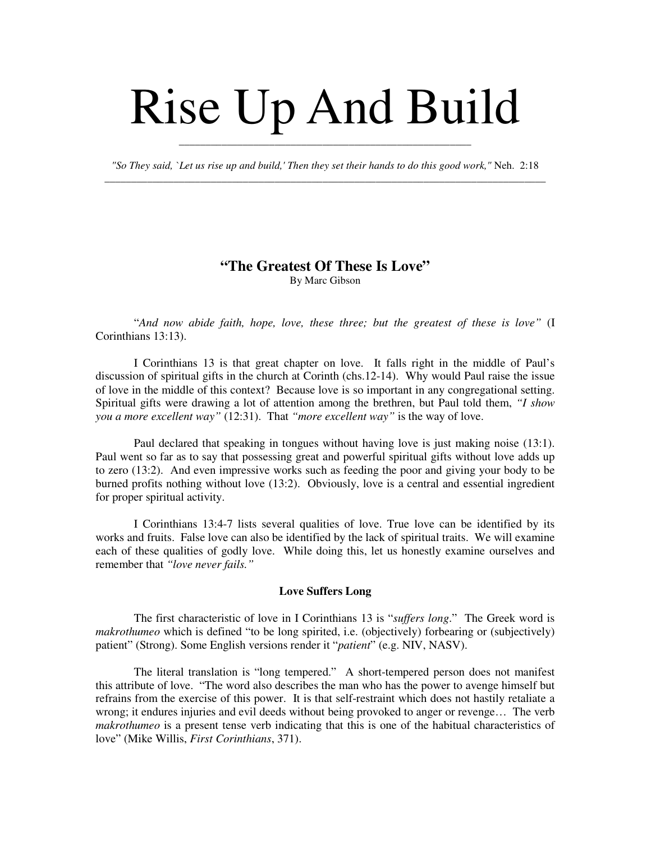# Rise Up And Build

*"So They said, `Let us rise up and build,' Then they set their hands to do this good work,"* Neh. 2:18 \_\_\_\_\_\_\_\_\_\_\_\_\_\_\_\_\_\_\_\_\_\_\_\_\_\_\_\_\_\_\_\_\_\_\_\_\_\_\_\_\_\_\_\_\_\_\_\_\_\_\_\_\_\_\_\_\_\_\_\_\_\_\_\_\_\_\_\_\_\_\_\_\_\_\_\_\_\_\_\_\_\_\_

\_\_\_\_\_\_\_\_\_\_\_\_\_\_\_\_\_\_\_\_\_\_\_\_\_\_\_\_\_\_\_\_\_\_\_\_\_\_\_\_\_\_\_\_\_\_\_\_\_\_\_\_\_\_\_

# **"The Greatest Of These Is Love"** By Marc Gibson

"*And now abide faith, hope, love, these three; but the greatest of these is love"* (I Corinthians 13:13).

I Corinthians 13 is that great chapter on love. It falls right in the middle of Paul's discussion of spiritual gifts in the church at Corinth (chs.12-14). Why would Paul raise the issue of love in the middle of this context? Because love is so important in any congregational setting. Spiritual gifts were drawing a lot of attention among the brethren, but Paul told them, *"I show you a more excellent way"* (12:31). That *"more excellent way"* is the way of love.

Paul declared that speaking in tongues without having love is just making noise (13:1). Paul went so far as to say that possessing great and powerful spiritual gifts without love adds up to zero (13:2). And even impressive works such as feeding the poor and giving your body to be burned profits nothing without love (13:2). Obviously, love is a central and essential ingredient for proper spiritual activity.

I Corinthians 13:4-7 lists several qualities of love. True love can be identified by its works and fruits. False love can also be identified by the lack of spiritual traits. We will examine each of these qualities of godly love. While doing this, let us honestly examine ourselves and remember that *"love never fails."*

#### **Love Suffers Long**

The first characteristic of love in I Corinthians 13 is "*suffers long*." The Greek word is *makrothumeo* which is defined "to be long spirited, i.e. (objectively) forbearing or (subjectively) patient" (Strong). Some English versions render it "*patient*" (e.g. NIV, NASV).

The literal translation is "long tempered." A short-tempered person does not manifest this attribute of love. "The word also describes the man who has the power to avenge himself but refrains from the exercise of this power. It is that self-restraint which does not hastily retaliate a wrong; it endures injuries and evil deeds without being provoked to anger or revenge… The verb *makrothumeo* is a present tense verb indicating that this is one of the habitual characteristics of love" (Mike Willis, *First Corinthians*, 371).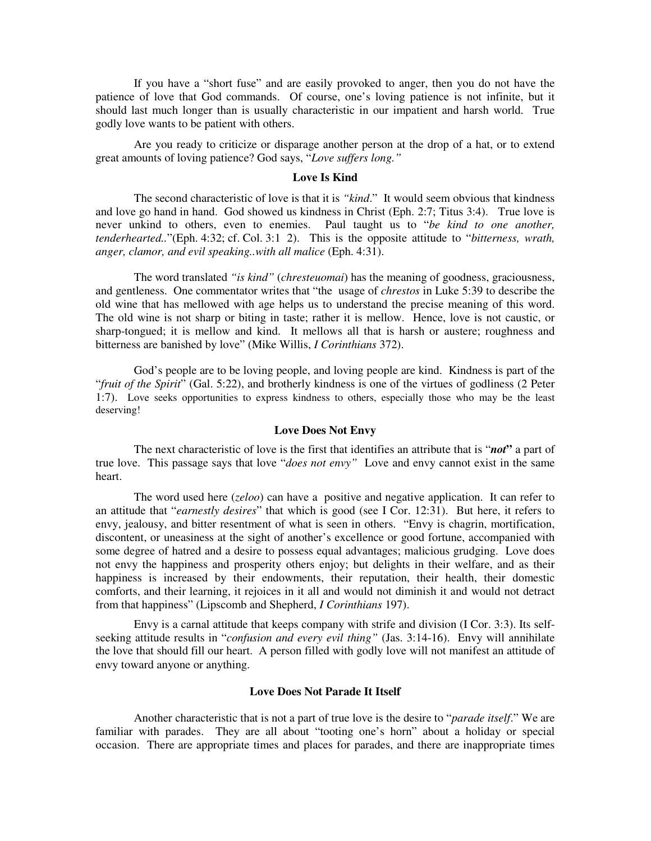If you have a "short fuse" and are easily provoked to anger, then you do not have the patience of love that God commands. Of course, one's loving patience is not infinite, but it should last much longer than is usually characteristic in our impatient and harsh world. True godly love wants to be patient with others.

Are you ready to criticize or disparage another person at the drop of a hat, or to extend great amounts of loving patience? God says, "*Love suffers long."*

## **Love Is Kind**

The second characteristic of love is that it is *"kind*." It would seem obvious that kindness and love go hand in hand. God showed us kindness in Christ (Eph. 2:7; Titus 3:4). True love is never unkind to others, even to enemies. Paul taught us to "*be kind to one another, tenderhearted..*"(Eph. 4:32; cf. Col. 3:1 2). This is the opposite attitude to "*bitterness, wrath, anger, clamor, and evil speaking..with all malice* (Eph. 4:31).

The word translated *"is kind"* (*chresteuomai*) has the meaning of goodness, graciousness, and gentleness. One commentator writes that "the usage of *chrestos* in Luke 5:39 to describe the old wine that has mellowed with age helps us to understand the precise meaning of this word. The old wine is not sharp or biting in taste; rather it is mellow. Hence, love is not caustic, or sharp-tongued; it is mellow and kind. It mellows all that is harsh or austere; roughness and bitterness are banished by love" (Mike Willis, *I Corinthians* 372).

God's people are to be loving people, and loving people are kind. Kindness is part of the "*fruit of the Spirit*" (Gal. 5:22), and brotherly kindness is one of the virtues of godliness (2 Peter 1:7). Love seeks opportunities to express kindness to others, especially those who may be the least deserving!

#### **Love Does Not Envy**

The next characteristic of love is the first that identifies an attribute that is "*not***"** a part of true love. This passage says that love "*does not envy"* Love and envy cannot exist in the same heart.

The word used here (*zeloo*) can have a positive and negative application. It can refer to an attitude that "*earnestly desires*" that which is good (see I Cor. 12:31). But here, it refers to envy, jealousy, and bitter resentment of what is seen in others. "Envy is chagrin, mortification, discontent, or uneasiness at the sight of another's excellence or good fortune, accompanied with some degree of hatred and a desire to possess equal advantages; malicious grudging. Love does not envy the happiness and prosperity others enjoy; but delights in their welfare, and as their happiness is increased by their endowments, their reputation, their health, their domestic comforts, and their learning, it rejoices in it all and would not diminish it and would not detract from that happiness" (Lipscomb and Shepherd, *I Corinthians* 197).

Envy is a carnal attitude that keeps company with strife and division (I Cor. 3:3). Its selfseeking attitude results in "*confusion and every evil thing"* (Jas. 3:14-16). Envy will annihilate the love that should fill our heart. A person filled with godly love will not manifest an attitude of envy toward anyone or anything.

## **Love Does Not Parade It Itself**

Another characteristic that is not a part of true love is the desire to "*parade itself*." We are familiar with parades. They are all about "tooting one's horn" about a holiday or special occasion. There are appropriate times and places for parades, and there are inappropriate times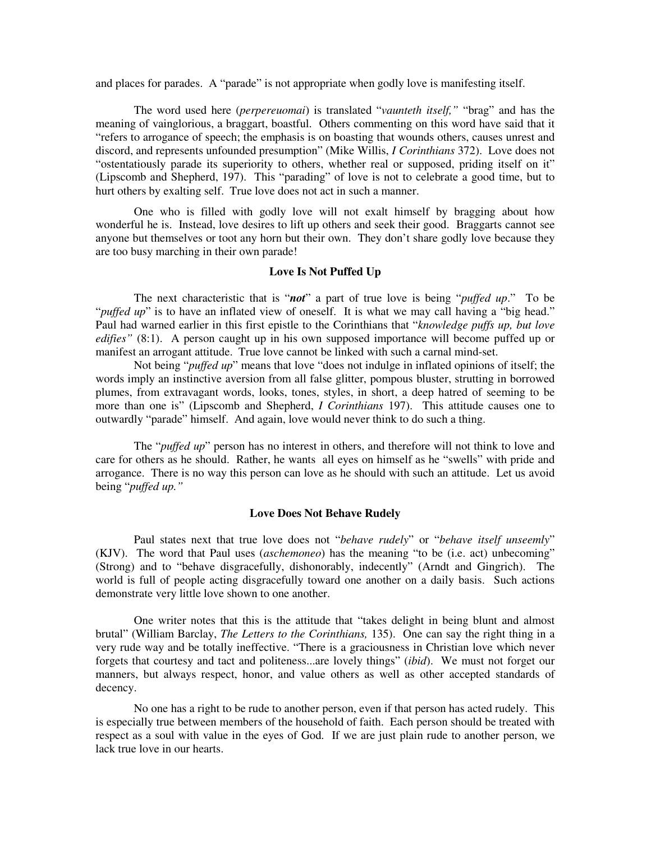and places for parades. A "parade" is not appropriate when godly love is manifesting itself.

The word used here (*perpereuomai*) is translated "*vaunteth itself,"* "brag" and has the meaning of vainglorious, a braggart, boastful. Others commenting on this word have said that it "refers to arrogance of speech; the emphasis is on boasting that wounds others, causes unrest and discord, and represents unfounded presumption" (Mike Willis, *I Corinthians* 372). Love does not "ostentatiously parade its superiority to others, whether real or supposed, priding itself on it" (Lipscomb and Shepherd, 197). This "parading" of love is not to celebrate a good time, but to hurt others by exalting self. True love does not act in such a manner.

One who is filled with godly love will not exalt himself by bragging about how wonderful he is. Instead, love desires to lift up others and seek their good. Braggarts cannot see anyone but themselves or toot any horn but their own. They don't share godly love because they are too busy marching in their own parade!

## **Love Is Not Puffed Up**

The next characteristic that is "*not*" a part of true love is being "*puffed up*." To be "*puffed up*" is to have an inflated view of oneself. It is what we may call having a "big head." Paul had warned earlier in this first epistle to the Corinthians that "*knowledge puffs up, but love edifies"* (8:1). A person caught up in his own supposed importance will become puffed up or manifest an arrogant attitude. True love cannot be linked with such a carnal mind-set.

Not being "*puffed up*" means that love "does not indulge in inflated opinions of itself; the words imply an instinctive aversion from all false glitter, pompous bluster, strutting in borrowed plumes, from extravagant words, looks, tones, styles, in short, a deep hatred of seeming to be more than one is" (Lipscomb and Shepherd, *I Corinthians* 197). This attitude causes one to outwardly "parade" himself. And again, love would never think to do such a thing.

The "*puffed up*" person has no interest in others, and therefore will not think to love and care for others as he should. Rather, he wants all eyes on himself as he "swells" with pride and arrogance. There is no way this person can love as he should with such an attitude. Let us avoid being "*puffed up."*

#### **Love Does Not Behave Rudely**

Paul states next that true love does not "*behave rudely*" or "*behave itself unseemly*" (KJV). The word that Paul uses (*aschemoneo*) has the meaning "to be (i.e. act) unbecoming" (Strong) and to "behave disgracefully, dishonorably, indecently" (Arndt and Gingrich). The world is full of people acting disgracefully toward one another on a daily basis. Such actions demonstrate very little love shown to one another.

One writer notes that this is the attitude that "takes delight in being blunt and almost brutal" (William Barclay, *The Letters to the Corinthians,* 135). One can say the right thing in a very rude way and be totally ineffective. "There is a graciousness in Christian love which never forgets that courtesy and tact and politeness...are lovely things" (*ibid*). We must not forget our manners, but always respect, honor, and value others as well as other accepted standards of decency.

No one has a right to be rude to another person, even if that person has acted rudely. This is especially true between members of the household of faith. Each person should be treated with respect as a soul with value in the eyes of God. If we are just plain rude to another person, we lack true love in our hearts.